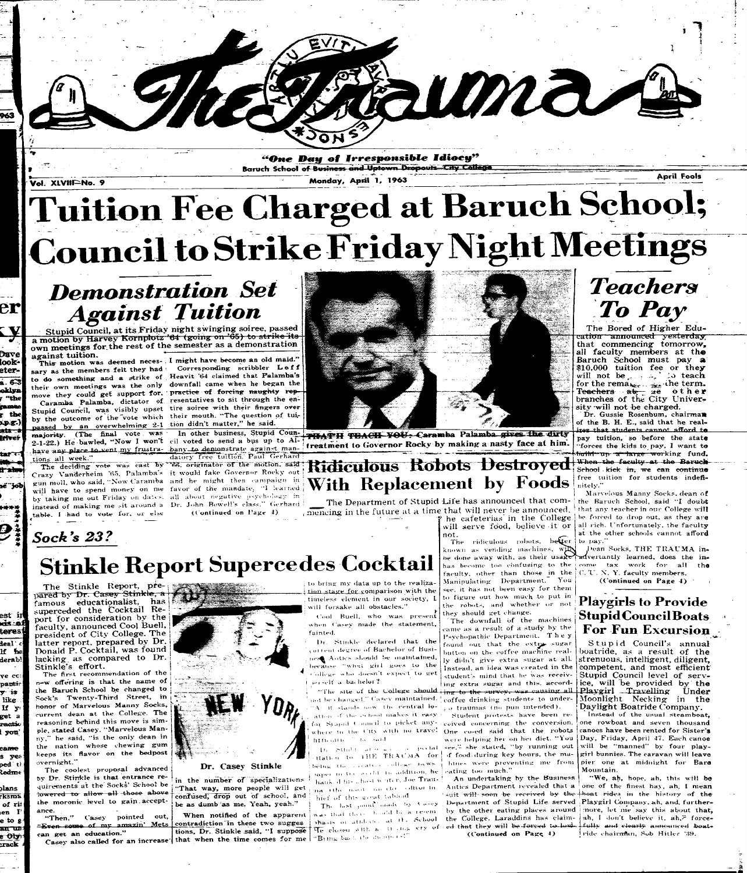**er** 

**look\* eter-**

á. 63 oklyn <sup>4</sup>the .<br>Manaz ; the 1p.g.) ata d

Dave

**friver** 

tar +=1

"One Day of Irresponsible Idiocy" **Baruch School of Business and Uptown Dropouts City College** 

**Vol . XLVtll^No . 9** 

# **Tuition Council to Strike Friday Night Meetings**

**Monday , Apri l 1 , 196 3** 

**Apri l Fools** 

<sup>10</sup> Dans

# *Demonstration Set Against Tuition*

Stupid Council, at its Friday night swinging soiree, passed  $\frac{\text{Stuplu} \text{ count}}{\text{a motion}}$  by Harvey Kornplotz '64 (going on '65) to strike own meetings for the rest of the semester as a demonstration against tuition. against tuition.

sary as the members felt they had <sup>corresponding scribbler Leff</sup> to do something and a strike of Heavit '64 claimed that Palamba's their own meetings was the only downfall came when he began the move they could get support for. ' practice of forcing naughty rep-

by the outcome of the vote which their mouth. "The question of tuipassed by an overwhelming 2-1 tion didn't matter," he said. 2-1-22.) He bawled, "Now I won't cil voted to send a bus up to Al-

majority. (The final vote was In other business, Stupid Coun-**PIFATH TOM-CH-FOU-Caramba Palamba gives the dirty** treatment to Governor Rocky by making a nasty face at him.

## **Ridiculous Robots Destroyed With Replacement by Foods**

The Department of Stupid Life has announced that commencing in the future at a time that will never be announced. that any teacher in our College will

The Stinkle Report, pre-<br>pared by Dr. Casey Stinkle, a  $famous$  educationalist, has superceded the Cocktail Report for consideration by the faculty, announced Cool Buell, president of City College. The latter report, prepared by Dr. Donald P. Cocktail, was found lacking, as compared to Dr. Stinkle's effort.

# *Teachers To Pay*

The first recommendation of the n-w offering is that the name of the Baruch School be changed to Sock's Twenty-Third Street, in honor of Marvelous Manny Socks, current dean at the College. The reasoning behind this move is simractio ple, stated Casey. "Marvelous Manny," he said, "is the only dean in the nation whose chewing gum keeps its flavor on the bedpost overnight. "

The coolest proposal advanced by Dr. Stinkle is that entrance requirements at the Socks' School be lowered to allow all those above the moronic level to gain acceptance. "Then," Casey pointed out,

"Even some of my amazin' Mets can get an education."



The Bored of Higher Education—announced—yesterday that commencing tomorrow, all faculty members at the Barueh School must pay **a**   $$10,000$  tuition fee or they will not be  $\ldots$ , go teach for the rema<sub>ble remainst</sub> the term.  $\frac{100 \text{ cm}}{2}$  Teachers  $\frac{100 \text{ cm}}{2}$   $\frac{100 \text{ cm}}{2}$ branches of the City University-will not be charged.

Dr. Gussie Rosenbum, chairman of the B. H. E., said that he realizes that students cannot afford to pay tuition, so before the state "forces the kids to pay, I want to b<del>uild up a large wor</del>king fund. When the faculty at the Baruch School kick in, we can continue free tuition for students indefinitely."

 $\gamma$  he cafeterias in the College be forced to drop out, as they are Marvelous Manny Socks, dean of the Baruch School, said "I doubt

# **Stinkle Report Supercedes Cocktail**

*Cool Buell*, who was present when Casey made the statement, fainted.

Dr. Stinkle declared that the \ inten t decre e of Bachelo r of Business Autics should be maintained, because "what girl goes to the **i**College who doesn't expect to get  $i$ .  $i$  -elf  $\alpha$  bachelor?

 $_{\rm root}$  be changed," Casev maintained.  $_{\rm i}^{\rm i}$  coffee drinking students to under-At it stands now, the central lo- $\mathbb{F}_{p,0}$  traumas (no pun intended). ation of the school makes it easy . Student protests have been refor Syapid Council to picket any -seeived concerning the conversion. where in the City with no travel. One co-ed said that the robots in n, and  $\sim$  " in said.

**se** 

\*\*\*\*

m 1

est *iv* 

teres

deal  $\epsilon$ If b e derab!

ve cc: p**ant**ic  $\overline{y}$  is like If  $y_0$ get a

I **yon '** 

cam e s ye\* i ped ti ledm e

jian s rksma of rill  $t$ en  $\mathbf{I}'$ e to g **a n** uii-

jrac k

e Oly.

Crazy Vanderheim '65, Palamba's it would fake Governor Rocky out gun moll, who said, "Now Caramba and he might then campaign in will have to spend money on me favor of the mandate. "I learned by taking me out Friday on dates. all about negative psychology in instead of making me sit around a Dr. John Bowell's class." Gerhard table. I had to vote for, or else

*Sock's 23 ?* 

This motion was deemed neces-  $\frac{1}{1}$  might have become an old maid. Caramba Palamba, dictator of resentatives to sit through the en-Stupid Council, was visibly upset tire soiree with their fingers over

have any place to yent my frustra- bany to demonstrate again-t man-

tions all week." datory free tuition. Paul Gerhard The deciding vote was cast by "66, originator of the motion, said

 $(Continued on Page 4)$ 



**i** *) •* **.•-',! : i (** *. '.* **,1 ! • • - • •\* • J >» « !« i 1**  . itati-... to **iHK** TTJM'M A for **t.cln. u II «l« - • ' - 1 1 --' - "V <sup>w</sup> ^**  )<br>agent in the symbiolic addition, he hank d hi- ..host whiter, Joe Trau- ! **na (the most one ib)**  $\epsilon$  **ditor in** hief of this good tabled

Stupid Council's annual boatride, as a result of the strenuous, intelligent, diligent, competent, and most efficient Stupid Council level of service, will be provided by the  $\frac{1}{1}$ Playgirl - Travelling Under Moonlight Necking in the Daylight Boatride Company.

Instead of the usual steamboat, one rowboat and seven thousand canoes have been rented for Sister's Day, Friday, April 47. Each canoe Mountain.

"We, ah, hope, ah, this will be 1 ride chairman, Sob Hitler '39.

not.

will serve food, believe it or all rich. Unfortunately, the faculty

Rauma (

# i **Dr.** Casey Stinkle

in the number of specializations 'That way, more people will get confused, drop out of school, and be as dumb as me. Yeah, yeah."

n get an education.<br>Casey also called for an increase that when the time comes for me fishing back the dumpers." When notified of the apparent contradiction "in these two sugges tions, Dr. Stinkle said, "I suppose

to bring my data up to the realization stage for comparison with the timeless element in our society, L will forsake all obstacles."

**i** 

 $\mathbf{F} = \mathbf{F} \mathbf{h}$ . last point index by  $\mathbf{v} = \mathbf{v} \mathbf{v} \mathbf{v}$ was that there bould be a resem- $\delta$  chases or attileded at the School

known as vending machines, will has become too confusing to the<br>g siles when them those in the Manipulating Department. You see. it ha s not been eas y for the m to figure out how much to put in the robots, and whether or not they should get change.

"The site of the College should  $\frac{1}{100}$  to the survey. was causing all The downfall of the machines came as a result of a study by the Psychopathic Department. The y found out that the extry-sugar button on the coffee machine really didn't give extra sugar at all. Instead, an idea was created in the student's mind that he was receiving extra sugar and this, accord-<br>''  $\mathbb{E}_{\mathbf{e}}e$ ." she stated, "by running out will be "manned" by four playif food, during key hours, the ma- girl bunnies. The caravan will leave hines were preventing me from pier one at midnight for Bare were helping her on her diet. "You eating too much."

 $\frac{m}{\text{Re}}$  closed with a it ink cry of ed that they will be forced to low- fully and clearly announced boat-Antics Department revealed that a one of the finest hay, ah, I mean suit will- soon be received by the **I boat rides** in the history of the Department of Stupid Life served ; Playgirl Company, ah, and, furtherby the other eating places around more, let me say this about that. An undertaking by the Business the College. Laraddins has claim- ah, I don't believe it, ah, Eforce-

 $(Continued on Page 4)$ 

at the other schools cannot afford The ridiculous robots, better to pay."

known as vending machines,  $w_{\text{max}}$  real cocks, THE TIME and the inbe done away with, as their usage calvertaility learned, does the  $m<sup>2</sup>$ <br>has become too confusing to the come tax work for all the faculty, other than those in the  $\begin{bmatrix} C, 'V, N, Y,$  faculty members. Dean Socks, THE TRAUMA in- $(Continued on Page 4)$ 

### **Playgirls to Provide Stupid Council Boats For Fun Excursion**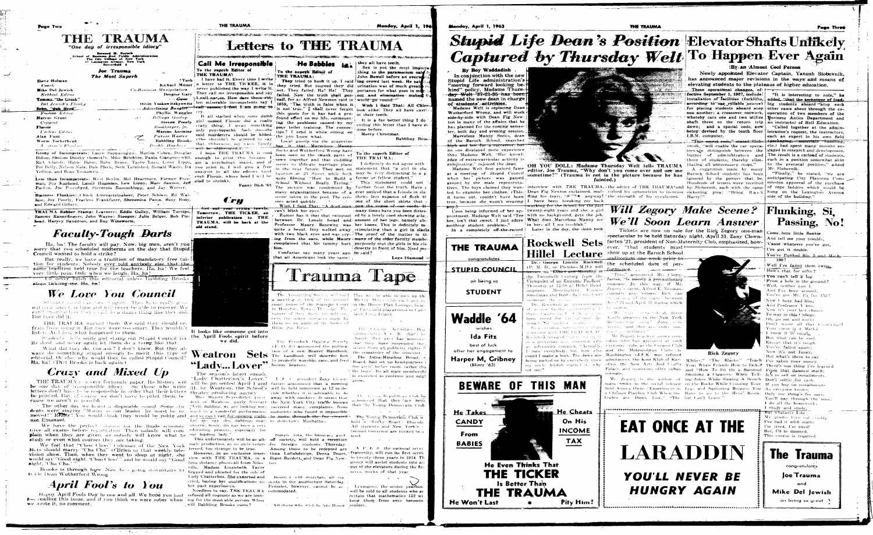THE TRAUMA

"One day of irresponsible idiocy" **Bernard M. Baruch<br>of Business find Public Admissi<br>The City College of New York** exington Avenue. New York

Joe Trauma

|                            |                                     | .                      |
|----------------------------|-------------------------------------|------------------------|
|                            | The Most Superb                     |                        |
| Steve Holman               |                                     | *Tu:                   |
| Coach                      |                                     | Kichael Mitz           |
| Mike Del Jewish            | <b>Co-Basiness Manipulators</b>     |                        |
| Nebbish Editor             |                                     | Despise Gar            |
| <b>Tommy "the Greek"</b>   |                                     | $\cdot$ $-$ Goon       |
| <b>Del Jewish's Flanky</b> | Oivin Yoskowitzkyowi                |                        |
| <u> Sebo, "duh Byrd".</u>  |                                     | Advertising Bangler    |
| Foolish Editor             |                                     | Phyllis Wangh          |
| Marcus Grunt               | $\mathcal{L} = \{ \mathcal{L} \}$ . | <b>Billings</b> Goofup |
| - Copycat                  |                                     | Steven Poor            |
| Flossie                    |                                     | Bookkeeper, jr.        |
| <b>Cseless Editor</b>      |                                     | Marcus Assinin         |
| Alan Funt                  |                                     | Picture Waster         |

Worm Tockerhead  $A \cup \{m, m\} \times F$  bundle

Babbling Brooks Double Hassbern

Group of Incompetents: Lance Sappanuggie, Marlon Cohen, Douglas - I hope THE TRAUMA is con Dillon, Sholom Dinsky (homest!), Mike Belchkin, Paula Giangrecewitz, enough to print this because Rick Glands, Habie Babie, Baby Renee, Taube Less, Lover Lipps, am a psychology major, and Pot Belly, Nelson Nala, Dale Pleck, Seth Tarnished, Ronald Waste, Ira you print it, I will give a free Yelling, and Beau Yoskowitz.

Less than Incompetents: West Berlin, Mel Heartburn, Farmer Freeman, Stu Kaphead, Lanny Hugodau, Lew Lippy, Marc Saxnon, Jeff glad to shrink). Packsa, Joe: Posenbyrd, Stevernio Rosenshlogg, and Jay Worser.

Business Flunkies: Chuch Adoreasteinabeer. Peter Schöen, Ed Wallase, Joy Poorly, Fearless Frankfuter, Sheneedsa Paina, Buzy Body, and Edward Gilbert.

TRAUMA Rubber Stamp: Learners: Eddie Gulley, William Turnips, Sammy Rannyfingers, John Wayne; Stooges: Julie Belger, Bob Pinhead. Harvey Sanddoon, and Roy Wineworm.

# **Faculty-Tough Darts**

Ha, ha! The faculty will pay. Now, big men, aren't you sorry that you scheduled midterms on the day that Stupid Council wanted to hold a strike?

But really, we have a tradition of mandatory free tuition for students. Nobody ever told anybody else that the same tradition held true for the teachers. Ha, ha! We feel! very little pain. Only when we laugh, Ha, ha!

THE never finish this editorial unless Babbling Brooks stons tickling-me. Hu, hu!

## We Love You Council

Standel Council basedone it again. They have really gone out on a hum tols time and will hever be able to recover. We ean't imagine how they could do a damb thing like they . But they did it.

THE TRAUMA warned them. We said they should re frain from doing it. But they were too smart. They wouldn't listen. And look what happened to them.

Students let's unite and stamp out Stupid Council for its deed, and never again let them do a thing like that.

What did they do, you ask? I don't know. But they always do something stupid enough to merit this type of editorial. Or else, why would they be called Stupid Council? Ha, ha! (That Brooks is back again.)

### Crazy and Mixed Up

THE TRAUMA is a very fortunate paper. Its history will will be presented April 1 and farten announced that a meeting be one day of irresponsible idiocy. So those who write 31, by Weatron, the School's will be held tomorrow at 12 to deletters don't have to be responsible in order that their letters theater producing agency be printed. But, of course, we don't have to print them, be **cause** we aren't responsible

The other day we heard a dispicable sound. Some stull Tell, dahling, we are looking vor- received many complaints from dents were singing "Manny is our leader, he must be re-ward to a vonderful performance, motorists who found it impossible moved!" Really! You would think they would be polite and and ye can't vait for opening might, to move through the fog created. nse Emanuel.

We have the perfect silution for the finals schedule Give all exams before registration. Then nobody will complain when they are given, as notedy will know what to study or even what courses they are taking

We feel that "Choo Choo" Coleman of the New York Mets should marry "Cha Cha" O'Brien of that weekly television show. Then, when they went to sleep at night, she would say "Good night, 'Choo Choo'" and he would say "Good might, 'Cha Cha.

Brooks is through here. Now he's going downstairs to th kle Dean Wutherford Wrong

### April Fool's to You

Happy April Fools Day to one and all. We hope you had refused all requests as we are look. fun reading this issue, and if you think we were sober when ing for the most able person. When we wrote it, no comment.

医可弗雷亚氏征



Call Me Irresponsible To the superb Editor of **THE TRAUMA!** 

THE TRAUMA

I have had it. Every time I write a letter to THE TICKER, it is never published the way I write it. ary They call me irresponsible and say ad call narges. How dare those rotitz<sup>f</sup>ten miserable incompetents say I <del>teall names. I feel</del> fram going to !  $V_{\text{PT}}$  cry.

It all started when some dumb 1. girl named Flossie did a really erazy thing. I mean something. ne only psychopathic fools do-she said murderers should be killed. the you know what. (She shouldn't be allowed to say that. Otherwise, my whole family <del>with the sublimental t</del>race

analysis to all the editors (and " "even Flossie, whose head I will be

Fonny Dish '63



<del>fiet out your crying towels.</del> Tomorrow, THE TICKER, an inferior publication to THE TRAUMA, will be back at the old stand.

www.oristander.com/contains and the reservation of also feel of the art and



It looks like someone got into the April Fools spirit before we did.



The season's latest smash "Lady Chatterbox's Lover."

Miss Majory Seyerdister, press. away with smokers. It seems that dent of Weatron, gayly forecast the New York City traffic bureau. Let me say dis, dabiing, dear, in downtown Manhattan sweetie, honie, dis has been a very educating process, especially for our leading lady.

male production, as no girls volun- for foreign students Thursday. teered, too strange to be true.

view with THE TRAUMA, in a Bigot Bardott, and Dean Fig Newlong distance phonecall from Niles ville, Madam Lizziebeth Tailor begged and pleaded for the role of Lady Chatterbox, She exhorted and cried, basing her qualifications on dents in the auditorium Saturday her past experimeces.

Needless to say, THE TRAUMA commodated. will Babbling Brooks come?

To the superb Editor of THE TRAUMA:

They tried to hush it up. I said ing crowd last week. He sai they tried. But succeed they did urination was of much great not. They failed. Ha! Ha! They portance for what goes in mu failed. Now the truth shall per- Lout and elimination makes t **vail**, for as Alfred Newman said in  $\frac{1}{2}$  world we round. 1959, "The truth is false when it. Wish I Said That: All Chineis not true." I shall never forget look alike. They all have cavit: this quote for it has had a pro- in their teeth. found effect on my life, surmount-It is a far better thing I do ing the problems caused-by my ending this letter than I have evpoor toilet training. The connecdone before. tion? I read it while sitting on Merry Christmas.

Local gossip via the grapevine has it that Marvelous Manny-Socks and Wutherford Wrong have been seen in the swank parts of town together and that cuddling seems to indicate marriage plans in the near future. They met on statement that "a girl in slac location at 23 Street while both may be very distracting to  $\overline{a}$  b were filming "How to Build a fessor or fellow student."

School Without Really Trying." This statement could not The picture was condemned by further from the truth. Have many organizations because of a ever noticed that a female in sla scene taken in the pool. The cen- shows less expanse of flesh th one of the short skirts that sors acted quickly. A Wish I Said That: "A dead man now the yogue of our coeds. Hmany times have you been distracan't blink his eves." Rumor has it that that swingout ed by a lovely coed showing arlar between Dr. Lovely Israel and amount of her legs, namely abo Professor Maury Benewitz was her knees. This is definitely  $m_i$ quite a beaut. Izzy walked away stimulating than a girl in slacks with two black eyes and was cry- The proof of the matter is th ing from the ears, while Maury many of the older faculty membe complained that his tummy hurt purposely seat the girls in his clahim. directly in front of him. Need mo-Confusius say many years ago be said?

that all Americans look the same:



The Accounting Society will hold. Plan will be able to pick up the a meeting in 1102 of the district ! Mickey More club call and ercourt heuse of the Supreme Court (in the House Plan Lounge, locatin Houston, Texas, Thursday. The [at Fairyland playground in Cano " their diseas lon wilt con." - land, Long Island, cern the minor inistakes made by them on an audit of the books of Billie Sol Estes The Chastie Activities Boa

The Ferndock Oggling Society (F. O. S.) announced the miblication of a new Beaver Handbook **Sets** The handbook will describe how to properly worship, care, and feed bronze beavers.

> (1) F. C. president Zany Clownceide whether it is advisable to do

hold a "Rocky Roast" Thursda All situdents and New York's teemed Governor are invited to Simple Aifa, the honorary good, tend. This unfortunately will be an all- off society, will hold a reception  $A \mid P \mid E \mid S$ , the national servi-Among those to be redepted are fraternity, will run its first servic However, in an exclusive inter- Gina Lollabdoirge, Deena Doors, in twenty-three years in 1974. The group will assist students into an out of the elevators during the first

Boosted will entertain all stu

All those who wish to join House Seniors.

Monday, April 1, 196:

# Letters to THE TRAUMA

# He Babbles

they all have teeth.

Sex is not the most importathing to the paramecium said  $l$ John Bowell before an overw

Babbling Broo-.

### To the superb Editor of THE TRAUMA:

I definitely do not agree with

Legs Diamond

Females, however, cannot be ac-

captures tated: A (C) B. that's he chaotic they are) has announce that they have suspended the selves from all publicity rights the remainder of the semester. The Intra-Mingling Broad. Board, had set up headquarters. the girls' locker room, rather the the boys'. Its all male membershi ' is expected to continue and migl

# A sunge Republican Chib h

announced that they fare bette than the Young Democratic Club. The Young Democratic Club w

# seven weeks of that year

Lexingcon, the senior yearboo. will be sold to all students who ar dertain that mathematics 152 wikeep them from ever becomin.

### By Boy Waddadish

Monday, April 1, 1963

In conjunction with the new Stupid Life administration's "moving forward looking be- $\dagger$ hind" policy, Madame Thursday Welt '37-21-35 has been named the new dean in charge of students' activities.

Madame Welt is replacing Dean Wutherford Wrong, and will work side-by-side with Dean Fig Newton in many of the affairs that he has planned for the coming semester, both day and evening session. Marvelous Manny Socks, dean

of the Baruch School, searched <del>hich and low for a successor, bu</del> no one displayed more experience than Madame Welt. "Her knowledge of extra-curricular activity is exhilirating." rejoiced the dean.

Madame Welt first gained fame at a meeting of Stupid Council when her picture was passed around by the male representatrue, because she wasn't wearing | I have been breaking my back

pointment. Madame Welt said "Tee with no background, gets the job. hee, isn't that sweet. I just adore What does Marvelous Manny see soothing student problems." In a completely off-the-record Later in the day, the dean took

**THE TRAUMA** 

congratulates

STUPID COUNCIL

on being so

**STUDENT** 

wishes

Ida Fitz

best of luck

after her engagement to

Harper M. Gribney

 $(Blintz 63)$ 

'64

**Waddle** 



OH YOU DOLL: Madame Thursday Welt tells TRAUMA editor, Joe Trauma, "Why don't you come over and see me sometime?" (Trauma is not in the picture because he has fainted.)

tives. The boys claimed they wan- interview with THE TRAUMA, the advice of THE TRAUMA and by Slobovnik, each with the same of rope ladders which would be ted to examine her clothes. (This, Dean Fig Newton exclaimed, muf- visited his optometrist to increase sickening plea: "Bring Back hung on the Lexington Avenue it turns out, couldn't have been fling his tears, "=""+\* anyway! the strength of his everlasses. Harry!"

<del>working for the School for the past</del> Upon being informed of her ap- twenty-eight years and she, a girl in her; all I see is--blah."

Hillel Lecture show up at the Baruch School Dr. George Lincoln Rockwell (P. M. D., or Pseudo-M.D.) will <del>esse</del>r on "<del>fakies and Moral</del>ity" in ' the Twentieth Century from the Viewpoint of an Extreme Pacficst' Thursday at 12:59 at Hillel Headquarters. Morningbird. Francis Smellman and Bablo Said Gold will

Dr. Rockwell is remesentative of a new faction completely by Vo appear. been noted for his on ond ap. Abollo theaters in the New York nemach Mo antibourly problems. The a reasonal, bening the contains thereof, "and they are under conmiterview with THE FRAUMA, Dr. Start Torveillance? Rockwell revealed that mosaic pairs in Mr. Zegory is a well known com-

not me."



is a perverted man obsessed with edian who has appeared at such an inferiority complex, "Actually, exclusive clubs as the Cosmos Club-I love everybody, but how else and the Metropolitan Clubs in could I make a buck. The Jews are Washington (J.F.K. was refused being picked on by everybody since admitance), the Kool Klub of Kar- Whites," "The Blacks." "Teach Tve taken your money, my uncle Adolph started it, why offna, the New Arts And Crafts Your White Friends How to Talk.2 There's one thing I've learned Palace, and numerous other urban and "How To Sit On a Barstool From that damned math; retreate.

field Among them: "Experiences in Legs and Squirming Because You As everyone knows, a Chicago Playboy Club When the Have to go to the Mens' Room, Only one thing's for sure. Lights are Down Low," "The but Can't Leave."

**THE TRAUMA** 

Page Three

has announced major revisions in the ways and means of

inating all unnecessary stops."

A suggestion made by many Mr. Slobovnik. Bartich School students has been ignored by the powers that be.

"It is interesting to note." he

to the prenatal position," added

"Finally," he stated, "we are anticipating City Planning Com-Hundreds of letters were received mission approval of the purchase side of the building."

Passing, No!

Flunking, Si.

Come here little flunkie

**Will Zegory Make Scene?** We'll Soon Learn Answer Tickets are now on sale for the Rick Zegory one-man

spectacular to be held Saturday night, April 31. Zany Clown-**Rockwell** Sets farten 21, president of Non-Maternity Club, emphasized, however. "that students must<sup>3-</sup>

uuditoriu<del>m one week prior to</del> the scheduled date of per $formance.$ 

"This." announced Mr. Clownfarten. "is merely a precautionary measure. In this way, if Mr Zegory's agent, Alfred E. Neuman, commits any terrors' Roll can house any of the nights between April 24 and April 31 during which

Methodolitan and Zany con-



Rick Zegory

Smoking a Cigarette While Tell- It's to sell on installments Mr. Zegory is the author of ing-Jokes While Sipping A Scotch Don't settle for cash. many books in the social science on the Rocks While Crossing Your. If you buy on mstallments

And tell me your trouble. Cause whatever vou've got. I've got it double. You've flunked Bio, 5 and Math  $150?$ Well I've failed them twicg, How's that for nifty? You can't tell a low From a hole in the ground? <sup>4</sup> Well, neither can 1. And I've been around. You've got Mr. Ex for 152? Now I have had him. And Professor Y too. Now it's your last chance To stay in this College. Oh, go out and work: Don't waste all that knowledge! Your curse is it Math2 " I know it is rough. But what can be said. Except that it's tough. You've failed again: Now it's not funny. But what's there to say You'll pay through the nose I do all the homework: I study and study. **But whatever I do** My grades turn out cruddy Eve had it with math: I'm tired, I'm tired! But, I'll be damned.